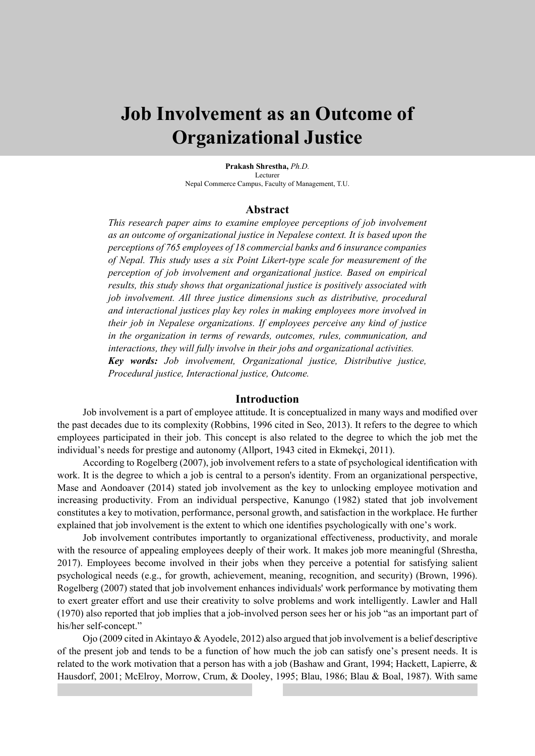# **Job Involvement as an Outcome of Organizational Justice**

**Prakash Shrestha,** *Ph.D.* Lecturer Nepal Commerce Campus, Faculty of Management, T.U.

#### **Abstract**

*This research paper aims to examine employee perceptions of job involvement as an outcome of organizational justice in Nepalese context. It is based upon the perceptions of 765 employees of 18 commercial banks and 6 insurance companies of Nepal. This study uses a six Point Likert-type scale for measurement of the perception of job involvement and organizational justice. Based on empirical results, this study shows that organizational justice is positively associated with job involvement. All three justice dimensions such as distributive, procedural and interactional justices play key roles in making employees more involved in their job in Nepalese organizations. If employees perceive any kind of justice in the organization in terms of rewards, outcomes, rules, communication, and interactions, they will fully involve in their jobs and organizational activities. Key words: Job involvement, Organizational justice, Distributive justice, Procedural justice, Interactional justice, Outcome.*

#### **Introduction**

Job involvement is a part of employee attitude. It is conceptualized in many ways and modified over the past decades due to its complexity (Robbins, 1996 cited in Seo, 2013). It refers to the degree to which employees participated in their job. This concept is also related to the degree to which the job met the individual's needs for prestige and autonomy (Allport, 1943 cited in Ekmekçi, 2011).

According to Rogelberg (2007), job involvement refers to a state of psychological identification with work. It is the degree to which a job is central to a person's identity. From an organizational perspective, Mase and Aondoaver (2014) stated job involvement as the key to unlocking employee motivation and increasing productivity. From an individual perspective, Kanungo (1982) stated that job involvement constitutes a key to motivation, performance, personal growth, and satisfaction in the workplace. He further explained that job involvement is the extent to which one identifies psychologically with one's work.

Job involvement contributes importantly to organizational effectiveness, productivity, and morale with the resource of appealing employees deeply of their work. It makes job more meaningful (Shrestha, 2017). Employees become involved in their jobs when they perceive a potential for satisfying salient psychological needs (e.g., for growth, achievement, meaning, recognition, and security) (Brown, 1996). Rogelberg (2007) stated that job involvement enhances individuals' work performance by motivating them to exert greater effort and use their creativity to solve problems and work intelligently. Lawler and Hall (1970) also reported that job implies that a job-involved person sees her or his job "as an important part of his/her self-concept."

Ojo (2009 cited in Akintayo & Ayodele, 2012) also argued that job involvement is a belief descriptive of the present job and tends to be a function of how much the job can satisfy one's present needs. It is related to the work motivation that a person has with a job (Bashaw and Grant, 1994; Hackett, Lapierre, & Hausdorf, 2001; McElroy, Morrow, Crum, & Dooley, 1995; Blau, 1986; Blau & Boal, 1987). With same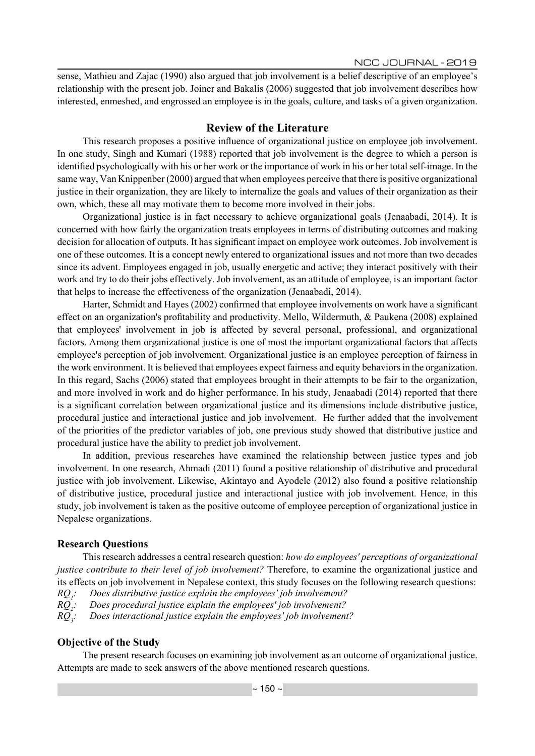sense, Mathieu and Zajac (1990) also argued that job involvement is a belief descriptive of an employee's relationship with the present job. Joiner and Bakalis (2006) suggested that job involvement describes how interested, enmeshed, and engrossed an employee is in the goals, culture, and tasks of a given organization.

### **Review of the Literature**

This research proposes a positive influence of organizational justice on employee job involvement. In one study, Singh and Kumari (1988) reported that job involvement is the degree to which a person is identified psychologically with his or her work or the importance of work in his or her total self-image. In the same way, Van Knippenber (2000) argued that when employees perceive that there is positive organizational justice in their organization, they are likely to internalize the goals and values of their organization as their own, which, these all may motivate them to become more involved in their jobs.

Organizational justice is in fact necessary to achieve organizational goals (Jenaabadi, 2014). It is concerned with how fairly the organization treats employees in terms of distributing outcomes and making decision for allocation of outputs. It has significant impact on employee work outcomes. Job involvement is one of these outcomes. It is a concept newly entered to organizational issues and not more than two decades since its advent. Employees engaged in job, usually energetic and active; they interact positively with their work and try to do their jobs effectively. Job involvement, as an attitude of employee, is an important factor that helps to increase the effectiveness of the organization (Jenaabadi, 2014).

Harter, Schmidt and Hayes (2002) confirmed that employee involvements on work have a significant effect on an organization's profitability and productivity. Mello, Wildermuth, & Paukena (2008) explained that employees' involvement in job is affected by several personal, professional, and organizational factors. Among them organizational justice is one of most the important organizational factors that affects employee's perception of job involvement. Organizational justice is an employee perception of fairness in the work environment. It is believed that employees expect fairness and equity behaviors in the organization. In this regard, Sachs (2006) stated that employees brought in their attempts to be fair to the organization, and more involved in work and do higher performance. In his study, Jenaabadi (2014) reported that there is a significant correlation between organizational justice and its dimensions include distributive justice, procedural justice and interactional justice and job involvement. He further added that the involvement of the priorities of the predictor variables of job, one previous study showed that distributive justice and procedural justice have the ability to predict job involvement.

In addition, previous researches have examined the relationship between justice types and job involvement. In one research, Ahmadi (2011) found a positive relationship of distributive and procedural justice with job involvement. Likewise, Akintayo and Ayodele (2012) also found a positive relationship of distributive justice, procedural justice and interactional justice with job involvement. Hence, in this study, job involvement is taken as the positive outcome of employee perception of organizational justice in Nepalese organizations.

### **Research Questions**

This research addresses a central research question: *how do employees' perceptions of organizational justice contribute to their level of job involvement?* Therefore, to examine the organizational justice and its effects on job involvement in Nepalese context, this study focuses on the following research questions:  $RO:$ *: Does distributive justice explain the employees' job involvement?* 

 $RQ$ <sup>2</sup> *: Does procedural justice explain the employees' job involvement?* 

 $RQ$ <sub>3</sub> $\therefore$ *: Does interactional justice explain the employees' job involvement?* 

## **Objective of the Study**

The present research focuses on examining job involvement as an outcome of organizational justice. Attempts are made to seek answers of the above mentioned research questions.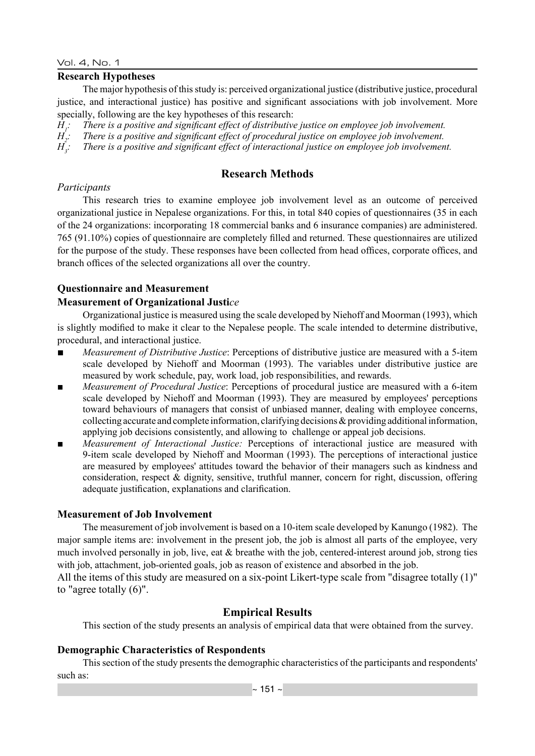#### Vol. 4, No. 1

## **Research Hypotheses**

The major hypothesis of this study is: perceived organizational justice (distributive justice, procedural justice, and interactional justice) has positive and significant associations with job involvement. More specially, following are the key hypotheses of this research:

*H1 : There is a positive and significant effect of distributive justice on employee job involvement.*

*H2 : There is a positive and significant effect of procedural justice on employee job involvement.*

*H3 : There is a positive and significant effect of interactional justice on employee job involvement.*

# **Research Methods**

## *Participants*

This research tries to examine employee job involvement level as an outcome of perceived organizational justice in Nepalese organizations. For this, in total 840 copies of questionnaires (35 in each of the 24 organizations: incorporating 18 commercial banks and 6 insurance companies) are administered. 765 (91.10%) copies of questionnaire are completely filled and returned. These questionnaires are utilized for the purpose of the study. These responses have been collected from head offices, corporate offices, and branch offices of the selected organizations all over the country.

## **Questionnaire and Measurement**

## **Measurement of Organizational Justi***ce*

Organizational justice is measured using the scale developed by Niehoff and Moorman (1993), which is slightly modified to make it clear to the Nepalese people. The scale intended to determine distributive, procedural, and interactional justice.

- *Measurement of Distributive Justice*: Perceptions of distributive justice are measured with a 5-item scale developed by Niehoff and Moorman (1993). The variables under distributive justice are measured by work schedule, pay, work load, job responsibilities, and rewards.
- *Measurement of Procedural Justice*: Perceptions of procedural justice are measured with a 6-item scale developed by Niehoff and Moorman (1993). They are measured by employees' perceptions toward behaviours of managers that consist of unbiased manner, dealing with employee concerns, collecting accurate and complete information, clarifying decisions  $\&$  providing additional information, applying job decisions consistently, and allowing to challenge or appeal job decisions.
- *Measurement of Interactional Justice:* Perceptions of interactional justice are measured with 9-item scale developed by Niehoff and Moorman (1993). The perceptions of interactional justice are measured by employees' attitudes toward the behavior of their managers such as kindness and consideration, respect & dignity, sensitive, truthful manner, concern for right, discussion, offering adequate justification, explanations and clarification.

## **Measurement of Job Involvement**

The measurement of job involvement is based on a 10-item scale developed by Kanungo (1982). The major sample items are: involvement in the present job, the job is almost all parts of the employee, very much involved personally in job, live, eat & breathe with the job, centered-interest around job, strong ties with job, attachment, job-oriented goals, job as reason of existence and absorbed in the job.

All the items of this study are measured on a six-point Likert-type scale from "disagree totally (1)" to "agree totally (6)".

## **Empirical Results**

This section of the study presents an analysis of empirical data that were obtained from the survey.

## **Demographic Characteristics of Respondents**

This section of the study presents the demographic characteristics of the participants and respondents' such as: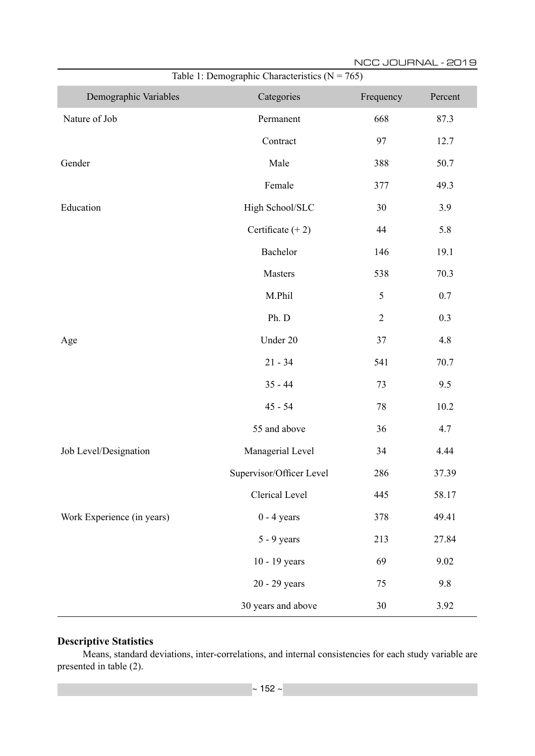| Table 1: Demographic Characteristics ( $N = 765$ ) |                          |                |         |  |  |  |  |
|----------------------------------------------------|--------------------------|----------------|---------|--|--|--|--|
| Demographic Variables                              | Categories               | Frequency      | Percent |  |  |  |  |
| Nature of Job                                      | Permanent                | 668            | 87.3    |  |  |  |  |
|                                                    | Contract                 | 97             | 12.7    |  |  |  |  |
| Gender                                             | Male                     | 388            | 50.7    |  |  |  |  |
|                                                    | Female                   | 377            | 49.3    |  |  |  |  |
| Education                                          | High School/SLC          | 30             | 3.9     |  |  |  |  |
|                                                    | Certificate $(+ 2)$      | 44             | 5.8     |  |  |  |  |
|                                                    | Bachelor                 | 146            | 19.1    |  |  |  |  |
|                                                    | Masters                  | 538            | 70.3    |  |  |  |  |
|                                                    | M.Phil                   | $\mathfrak{S}$ | 0.7     |  |  |  |  |
|                                                    | Ph. D                    | $\overline{2}$ | 0.3     |  |  |  |  |
| Age                                                | Under 20                 | 37             | 4.8     |  |  |  |  |
|                                                    | $21 - 34$                | 541            | 70.7    |  |  |  |  |
|                                                    | $35 - 44$                | 73             | 9.5     |  |  |  |  |
|                                                    | $45 - 54$                | 78             | 10.2    |  |  |  |  |
|                                                    | 55 and above             | 36             | 4.7     |  |  |  |  |
| Job Level/Designation                              | Managerial Level         | 34             | 4.44    |  |  |  |  |
|                                                    | Supervisor/Officer Level | 286            | 37.39   |  |  |  |  |
|                                                    | Clerical Level           | 445            | 58.17   |  |  |  |  |
| Work Experience (in years)                         | $0 - 4$ years            | 378            | 49.41   |  |  |  |  |
|                                                    | $5 - 9$ years            | 213            | 27.84   |  |  |  |  |
|                                                    | 10 - 19 years            | 69             | 9.02    |  |  |  |  |
|                                                    | 20 - 29 years            | 75             | 9.8     |  |  |  |  |
|                                                    | 30 years and above       | $30\,$         | 3.92    |  |  |  |  |

# **Descriptive Statistics**

Means, standard deviations, inter-correlations, and internal consistencies for each study variable are presented in table (2).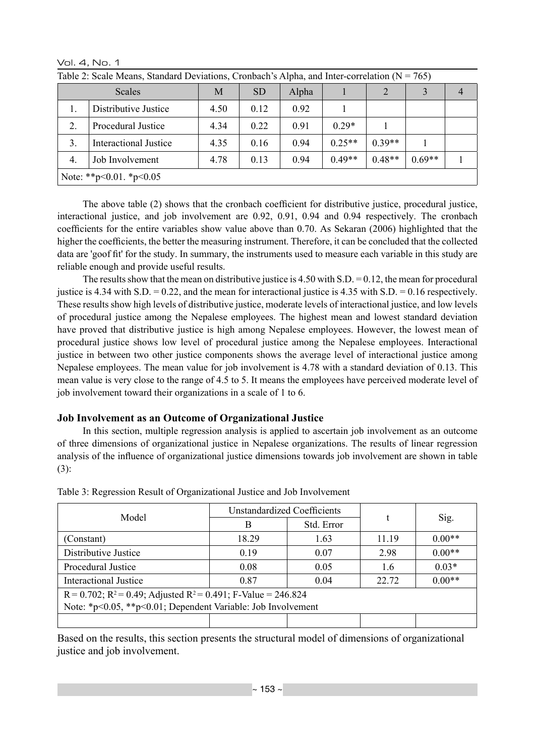| Table 2: Scale Means, Standard Deviations, Cronbach's Alpha, and Inter-correlation ( $N = 765$ ) |                              |      |           |       |          |          |          |                |
|--------------------------------------------------------------------------------------------------|------------------------------|------|-----------|-------|----------|----------|----------|----------------|
|                                                                                                  | Scales                       | M    | <b>SD</b> | Alpha |          |          | 3        | $\overline{4}$ |
|                                                                                                  | Distributive Justice         | 4.50 | 0.12      | 0.92  |          |          |          |                |
|                                                                                                  | Procedural Justice           | 4.34 | 0.22      | 0.91  | $0.29*$  |          |          |                |
| 3.                                                                                               | <b>Interactional Justice</b> | 4.35 | 0.16      | 0.94  | $0.25**$ | $0.39**$ |          |                |
| $\overline{4}$ .                                                                                 | Job Involvement              | 4.78 | 0.13      | 0.94  | $0.49**$ | $0.48**$ | $0.69**$ |                |
| Note: **p<0.01. *p<0.05                                                                          |                              |      |           |       |          |          |          |                |

Vol. 4, No. 1

The above table (2) shows that the cronbach coefficient for distributive justice, procedural justice, interactional justice, and job involvement are 0.92, 0.91, 0.94 and 0.94 respectively. The cronbach coefficients for the entire variables show value above than 0.70. As Sekaran (2006) highlighted that the higher the coefficients, the better the measuring instrument. Therefore, it can be concluded that the collected data are 'goof fit' for the study. In summary, the instruments used to measure each variable in this study are reliable enough and provide useful results.

The results show that the mean on distributive justice is 4.50 with S.D. = 0.12, the mean for procedural justice is 4.34 with S.D. = 0.22, and the mean for interactional justice is 4.35 with S.D. = 0.16 respectively. These results show high levels of distributive justice, moderate levels of interactional justice, and low levels of procedural justice among the Nepalese employees. The highest mean and lowest standard deviation have proved that distributive justice is high among Nepalese employees. However, the lowest mean of procedural justice shows low level of procedural justice among the Nepalese employees. Interactional justice in between two other justice components shows the average level of interactional justice among Nepalese employees. The mean value for job involvement is 4.78 with a standard deviation of 0.13. This mean value is very close to the range of 4.5 to 5. It means the employees have perceived moderate level of job involvement toward their organizations in a scale of 1 to 6.

# **Job Involvement as an Outcome of Organizational Justice**

In this section, multiple regression analysis is applied to ascertain job involvement as an outcome of three dimensions of organizational justice in Nepalese organizations. The results of linear regression analysis of the influence of organizational justice dimensions towards job involvement are shown in table (3):

|                                                                         | <b>Unstandardized Coefficients</b> |            | $\ddot{}$ |          |  |  |  |
|-------------------------------------------------------------------------|------------------------------------|------------|-----------|----------|--|--|--|
| Model                                                                   | В                                  | Std. Error |           | Sig.     |  |  |  |
| (Constant)                                                              | 18.29                              | 1.63       | 11.19     | $0.00**$ |  |  |  |
| Distributive Justice                                                    | 0.19                               | 0.07       | 2.98      | $0.00**$ |  |  |  |
| Procedural Justice                                                      | 0.08                               | 0.05       | 1.6       | $0.03*$  |  |  |  |
| <b>Interactional Justice</b>                                            | 0.87                               | 0.04       | 22.72     | $0.00**$ |  |  |  |
| $R = 0.702$ ; $R^2 = 0.49$ ; Adjusted $R^2 = 0.491$ ; F-Value = 246.824 |                                    |            |           |          |  |  |  |
| Note: *p<0.05, **p<0.01; Dependent Variable: Job Involvement            |                                    |            |           |          |  |  |  |
|                                                                         |                                    |            |           |          |  |  |  |

Table 3: Regression Result of Organizational Justice and Job Involvement

Based on the results, this section presents the structural model of dimensions of organizational justice and job involvement.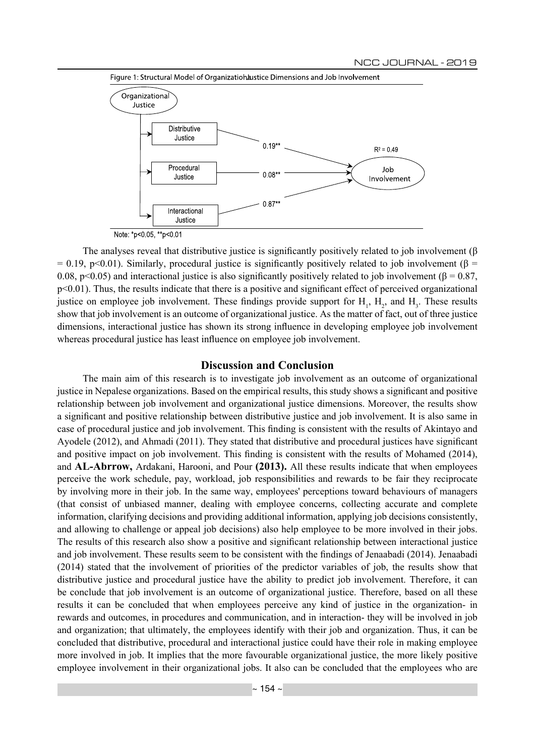

The analyses reveal that distributive justice is significantly positively related to job involvement (β  $= 0.19$ , p<0.01). Similarly, procedural justice is significantly positively related to job involvement ( $\beta$  = 0.08, p<0.05) and interactional justice is also significantly positively related to job involvement ( $\beta$  = 0.87, p<0.01). Thus, the results indicate that there is a positive and significant effect of perceived organizational justice on employee job involvement. These findings provide support for  $H_1$ ,  $H_2$ , and  $H_3$ . These results show that job involvement is an outcome of organizational justice. As the matter of fact, out of three justice dimensions, interactional justice has shown its strong influence in developing employee job involvement whereas procedural justice has least influence on employee job involvement.

#### **Discussion and Conclusion**

The main aim of this research is to investigate job involvement as an outcome of organizational justice in Nepalese organizations. Based on the empirical results, this study shows a significant and positive relationship between job involvement and organizational justice dimensions. Moreover, the results show a significant and positive relationship between distributive justice and job involvement. It is also same in case of procedural justice and job involvement. This finding is consistent with the results of Akintayo and Ayodele (2012), and Ahmadi (2011). They stated that distributive and procedural justices have significant and positive impact on job involvement. This finding is consistent with the results of Mohamed (2014), and **AL-Abrrow,** Ardakani, Harooni, and Pour **(2013).** All these results indicate that when employees perceive the work schedule, pay, workload, job responsibilities and rewards to be fair they reciprocate by involving more in their job. In the same way, employees' perceptions toward behaviours of managers (that consist of unbiased manner, dealing with employee concerns, collecting accurate and complete information, clarifying decisions and providing additional information, applying job decisions consistently, and allowing to challenge or appeal job decisions) also help employee to be more involved in their jobs. The results of this research also show a positive and significant relationship between interactional justice and job involvement. These results seem to be consistent with the findings of Jenaabadi (2014). Jenaabadi (2014) stated that the involvement of priorities of the predictor variables of job, the results show that distributive justice and procedural justice have the ability to predict job involvement. Therefore, it can be conclude that job involvement is an outcome of organizational justice. Therefore, based on all these results it can be concluded that when employees perceive any kind of justice in the organization- in rewards and outcomes, in procedures and communication, and in interaction- they will be involved in job and organization; that ultimately, the employees identify with their job and organization. Thus, it can be concluded that distributive, procedural and interactional justice could have their role in making employee more involved in job. It implies that the more favourable organizational justice, the more likely positive employee involvement in their organizational jobs. It also can be concluded that the employees who are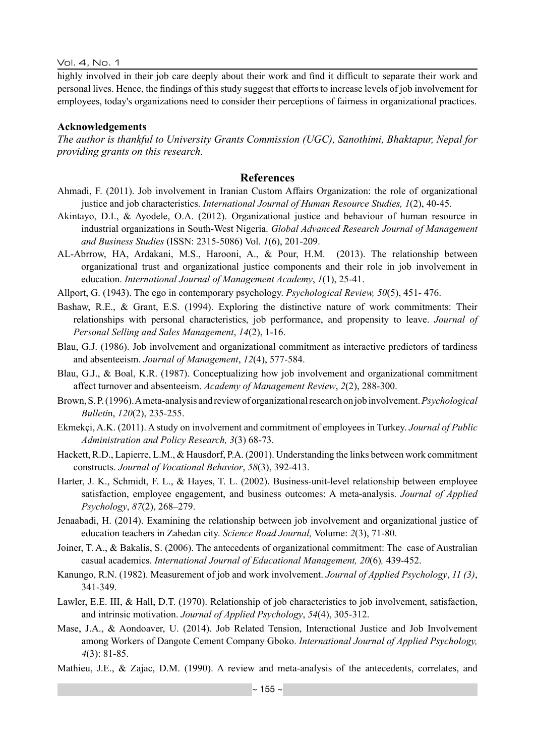Vol. 4, No. 1

highly involved in their job care deeply about their work and find it difficult to separate their work and personal lives. Hence, the findings of this study suggest that efforts to increase levels of job involvement for employees, today's organizations need to consider their perceptions of fairness in organizational practices.

## **Acknowledgements**

*The author is thankful to University Grants Commission (UGC), Sanothimi, Bhaktapur, Nepal for providing grants on this research.*

## **References**

- Ahmadi, F. (2011). Job involvement in Iranian Custom Affairs Organization: the role of organizational justice and job characteristics. *International Journal of Human Resource Studies, 1*(2), 40-45.
- Akintayo, D.I., & Ayodele, O.A. (2012). Organizational justice and behaviour of human resource in industrial organizations in South-West Nigeria. *Global Advanced Research Journal of Management and Business Studies* (ISSN: 2315-5086) Vol. *1*(6), 201-209.
- AL-Abrrow, HA, Ardakani, M.S., Harooni, A., & Pour, H.M. (2013). The relationship between organizational trust and organizational justice components and their role in job involvement in education. *International Journal of Management Academy*, *1*(1), 25-41.
- Allport, G. (1943). The ego in contemporary psychology. *Psychological Review, 50*(5), 451- 476.
- Bashaw, R.E., & Grant, E.S. (1994). Exploring the distinctive nature of work commitments: Their relationships with personal characteristics, job performance, and propensity to leave. *Journal of Personal Selling and Sales Management*, *14*(2), 1-16.
- Blau, G.J. (1986). Job involvement and organizational commitment as interactive predictors of tardiness and absenteeism. *Journal of Management*, *12*(4), 577-584.
- Blau, G.J., & Boal, K.R. (1987). Conceptualizing how job involvement and organizational commitment affect turnover and absenteeism. *Academy of Management Review*, *2*(2), 288-300.
- Brown, S. P. (1996). A meta-analysis and review of organizational research on job involvement. *Psychological Bulleti*n, *120*(2), 235-255.
- Ekmekçi, A.K. (2011). A study on involvement and commitment of employees in Turkey. *Journal of Public Administration and Policy Research, 3*(3) 68-73.
- Hackett, R.D., Lapierre, L.M., & Hausdorf, P.A. (2001). Understanding the links between work commitment constructs. *Journal of Vocational Behavior*, *58*(3), 392-413.
- Harter, J. K., Schmidt, F. L., & Hayes, T. L. (2002). Business-unit-level relationship between employee satisfaction, employee engagement, and business outcomes: A meta-analysis. *Journal of Applied Psychology*, *87*(2), 268–279.
- Jenaabadi, H. (2014). Examining the relationship between job involvement and organizational justice of education teachers in Zahedan city. *Science Road Journal,* Volume: *2*(3), 71-80.
- Joiner, T. A., & Bakalis, S. (2006). The antecedents of organizational commitment: The case of Australian casual academics. *International Journal of Educational Management, 20*(6)*,* 439-452.
- Kanungo, R.N. (1982). Measurement of job and work involvement. *Journal of Applied Psychology*, *11 (3)*, 341-349.
- Lawler, E.E. III, & Hall, D.T. (1970). Relationship of job characteristics to job involvement, satisfaction, and intrinsic motivation. *Journal of Applied Psychology*, *54*(4), 305-312.
- Mase, J.A., & Aondoaver, U. (2014). Job Related Tension, Interactional Justice and Job Involvement among Workers of Dangote Cement Company Gboko. *International Journal of Applied Psychology, 4*(3): 81-85.
- Mathieu, J.E., & Zajac, D.M. (1990). A review and meta-analysis of the antecedents, correlates, and